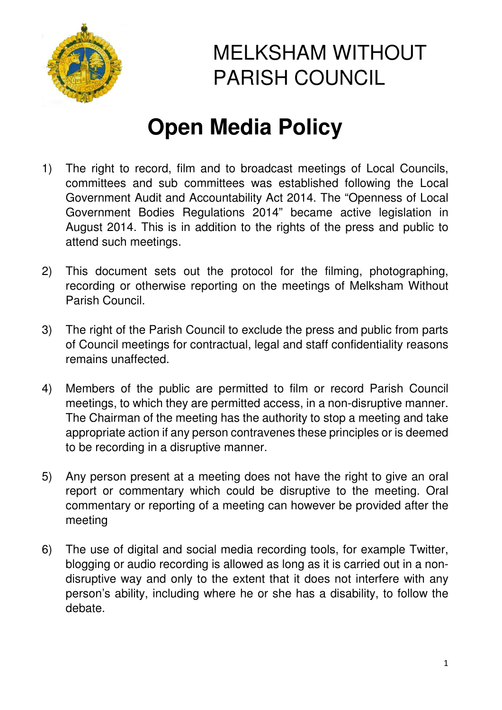

## MELKSHAM WITHOUT PARISH COUNCIL

## **Open Media Policy**

- 1) The right to record, film and to broadcast meetings of Local Councils, committees and sub committees was established following the Local Government Audit and Accountability Act 2014. The "Openness of Local Government Bodies Regulations 2014" became active legislation in August 2014. This is in addition to the rights of the press and public to attend such meetings.
- 2) This document sets out the protocol for the filming, photographing, recording or otherwise reporting on the meetings of Melksham Without Parish Council.
- 3) The right of the Parish Council to exclude the press and public from parts of Council meetings for contractual, legal and staff confidentiality reasons remains unaffected.
- 4) Members of the public are permitted to film or record Parish Council meetings, to which they are permitted access, in a non-disruptive manner. The Chairman of the meeting has the authority to stop a meeting and take appropriate action if any person contravenes these principles or is deemed to be recording in a disruptive manner.
- 5) Any person present at a meeting does not have the right to give an oral report or commentary which could be disruptive to the meeting. Oral commentary or reporting of a meeting can however be provided after the meeting
- 6) The use of digital and social media recording tools, for example Twitter, blogging or audio recording is allowed as long as it is carried out in a nondisruptive way and only to the extent that it does not interfere with any person's ability, including where he or she has a disability, to follow the debate.